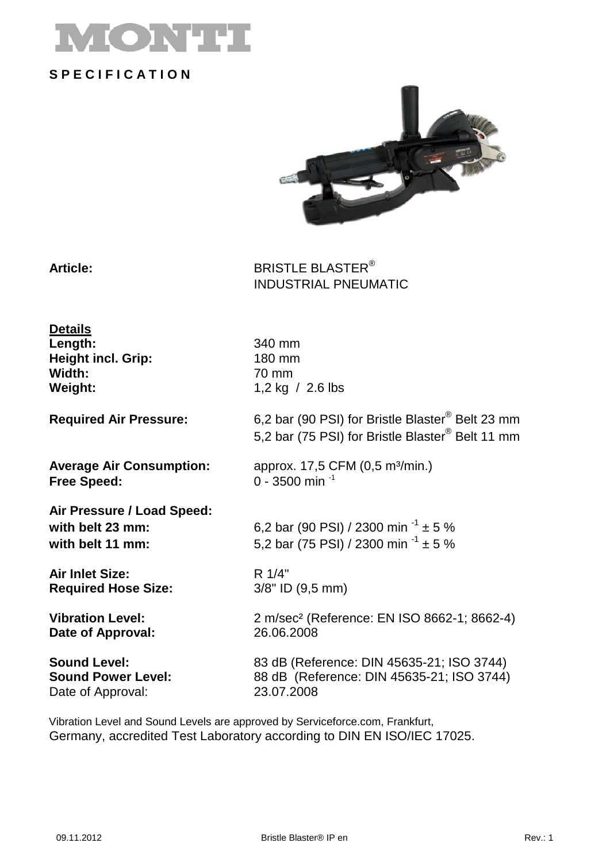

### **S P E C I F I C A T I O N**



Article: BLASTER® INDUSTRIAL PNEUMATIC

| <b>Details</b><br>Length:<br><b>Height incl. Grip:</b><br>Width:<br>Weight: | 340 mm<br>180 mm<br>70 mm<br>1,2 kg $/$ 2.6 lbs                                                                              |
|-----------------------------------------------------------------------------|------------------------------------------------------------------------------------------------------------------------------|
| <b>Required Air Pressure:</b>                                               | 6,2 bar (90 PSI) for Bristle Blaster <sup>®</sup> Belt 23 mm<br>5,2 bar (75 PSI) for Bristle Blaster <sup>®</sup> Belt 11 mm |
| <b>Average Air Consumption:</b>                                             | approx. 17,5 CFM (0,5 m <sup>3</sup> /min.)                                                                                  |
| <b>Free Speed:</b>                                                          | 0 - 3500 min $^{-1}$                                                                                                         |
| Air Pressure / Load Speed:<br>with belt 23 mm:<br>with belt 11 mm:          | 6,2 bar (90 PSI) / 2300 min <sup>-1</sup> $\pm$ 5 %<br>5,2 bar (75 PSI) / 2300 min <sup>-1</sup> $\pm$ 5 %                   |
| <b>Air Inlet Size:</b>                                                      | R 1/4"                                                                                                                       |
| <b>Required Hose Size:</b>                                                  | $3/8$ " ID $(9,5$ mm)                                                                                                        |
| <b>Vibration Level:</b>                                                     | 2 m/sec <sup>2</sup> (Reference: EN ISO 8662-1; 8662-4)                                                                      |
| Date of Approval:                                                           | 26.06.2008                                                                                                                   |
| <b>Sound Level:</b>                                                         | 83 dB (Reference: DIN 45635-21; ISO 3744)                                                                                    |
| <b>Sound Power Level:</b>                                                   | 88 dB (Reference: DIN 45635-21; ISO 3744)                                                                                    |
| Date of Approval:                                                           | 23.07.2008                                                                                                                   |

Vibration Level and Sound Levels are approved by Serviceforce.com, Frankfurt, Germany, accredited Test Laboratory according to DIN EN ISO/IEC 17025.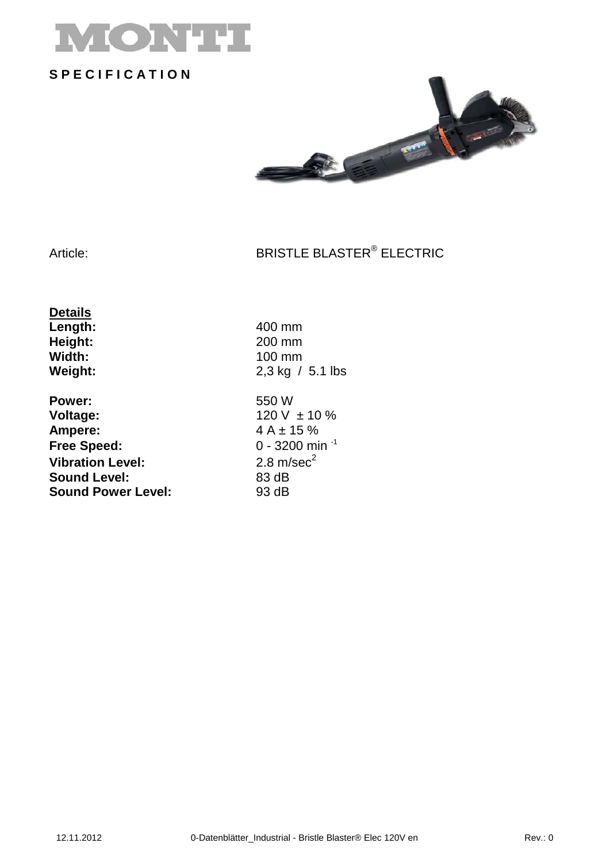

## **S P E C I F I C A T I O N**



#### Article: BRISTLE BLASTER® ELECTRIC

**Details Length:** 400 mm<br> **Height:** 200 mm **Height:**<br>Width: **Width:** 100 mm<br>**Weight:** 2,3 kg /

**Power:** 550 W<br> **Voltage:** 120 V **Voltage:** 120 V ± 10 %<br> **Ampere:** 4 A ± 15 % **Ampere:** 4 A ± 15 %<br>**Free Speed:** 0 - 3200 mi **Vibration Level:** 2.8 m/sec<sup>2</sup><br> **Sound Level:** 83 dB **Sound Level:** 83 dB<br> **Sound Power Level:** 93 dB **Sound Power Level:** 

**Weight:** 2,3 kg / 5.1 lbs **Free Speed:** 0 - 3200 min -1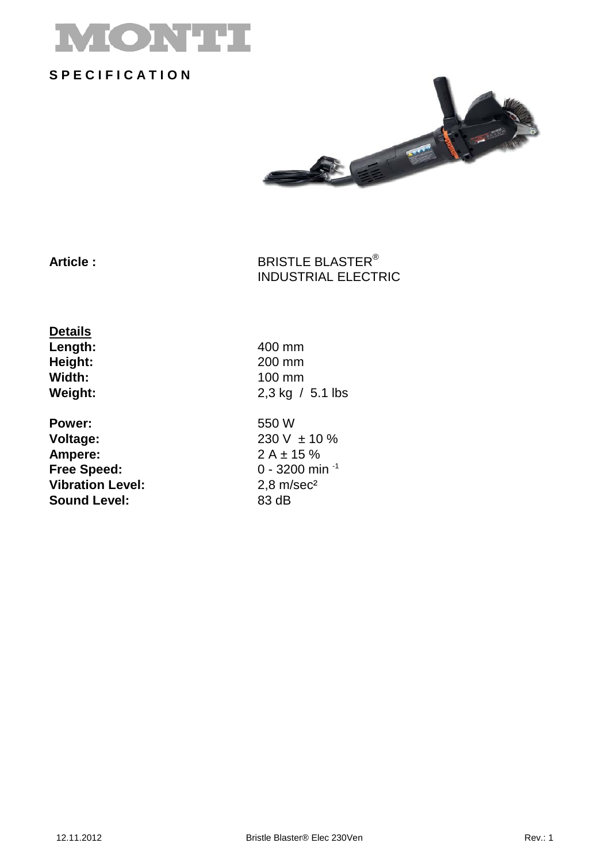

### **S P E C I F I C A T I O N**



Article : **BRISTLE BLASTER**<sup>®</sup> INDUSTRIAL ELECTRIC

**Details Length:** 400 mm<br> **Height:** 200 mm **Height:**<br>Width: **Width:** 100 mm<br>**Weight:** 2,3 kg /

**Power:** 550 W<br> **Voltage:** 230 V **Voltage:** 230 V ± 10 %<br> **Ampere:** 2 A ± 15 % **Free Speed: Vibration Level:** 2,8 m/sec<sup>2</sup><br> **Sound Level:** 83 dB **Sound Level:** 

**Weight:** 2,3 kg / 5.1 lbs

 $2 A \pm 15 \%$ <br>0 - 3200 min <sup>-1</sup>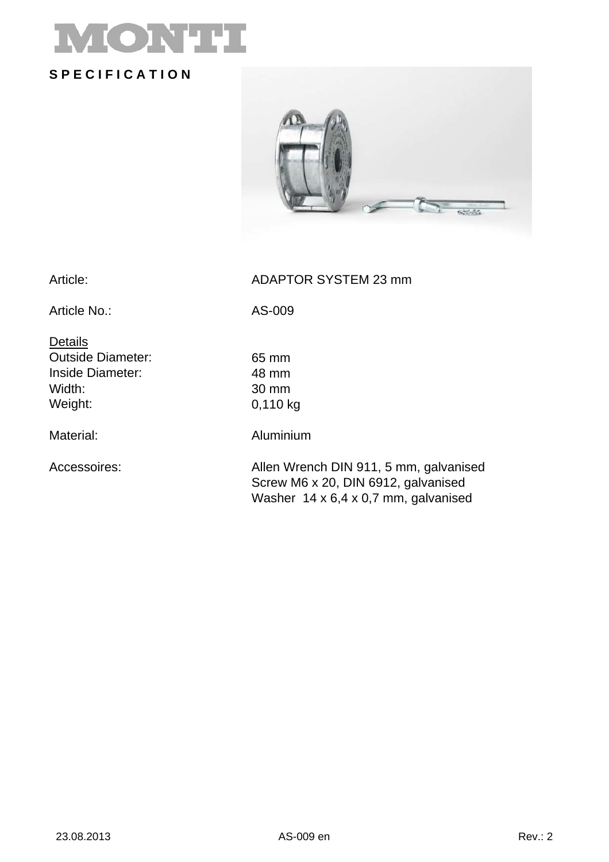# ONT **S P E C I F I C A T I O N**

Article: ADAPTOR SYSTEM 23 mm

Article No.: AS-009

**Details** Outside Diameter: 65 mm Inside Diameter: 48 mm Width: 30 mm Weight: 0,110 kg

Material: Aluminium

Accessoires: Allen Wrench DIN 911, 5 mm, galvanised Screw M6 x 20, DIN 6912, galvanised Washer 14 x 6,4 x 0,7 mm, galvanised